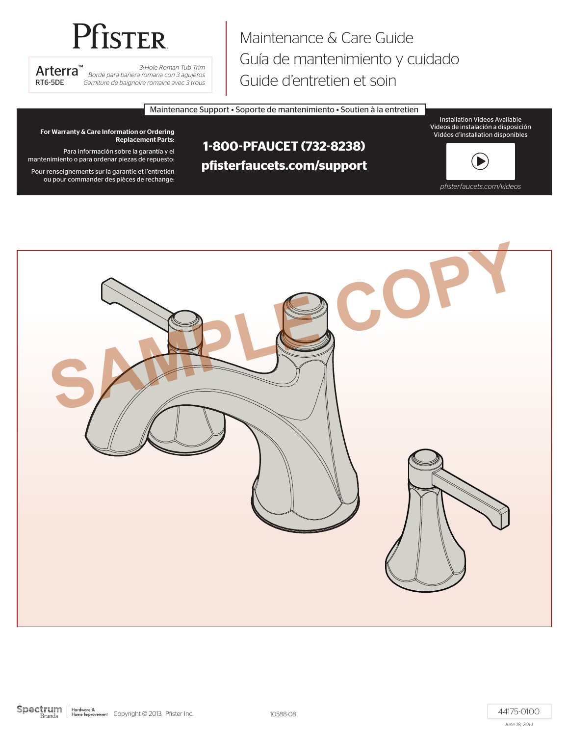# Pfister

*Borde para bañera romana con 3 agujeros Garniture de baignoire romaine avec 3 trous*

Maintenance & Care Guide Guía de mantenimiento y cuidado Arterra<sup>™</sup> *Borde para bañera romana con 3 agujeros*<br>RT6-5DE *Garniture de baignoire romana con 3 agujeros* Guide d'entretien et soin

Maintenance Support • Soporte de mantenimiento • Soutien à la entretien

Installation Videos Available Videos de instalación a disposición Vidéos d'installation disponibles

For Warranty & Care Information or Ordering Replacement Parts:

Para información sobre la garantía y el mantenimiento o para ordenar piezas de repuesto:

Pour renseignements sur la garantie et l'entretien ou pour commander des pièces de rechange:

## **1-800-PFAUCET (732-8238) pfisterfaucets.com/support**

*pfisterfaucets.com/videos*

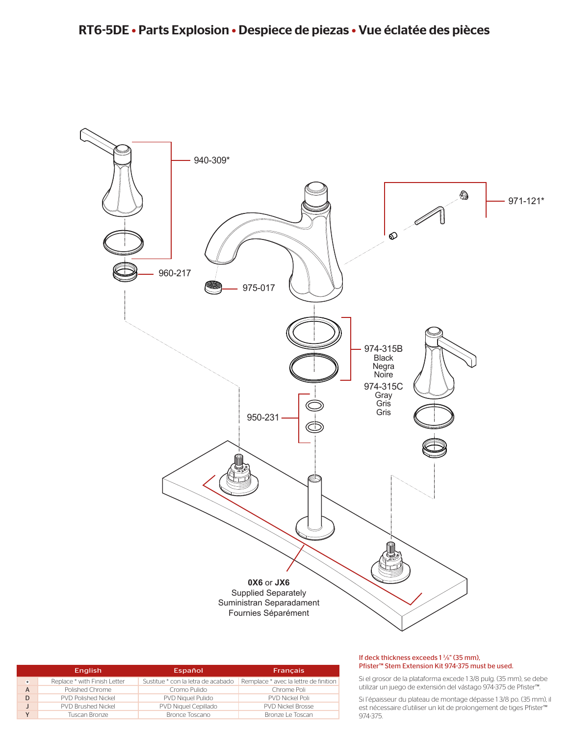

|         | <b>English</b>               | Español                            | <b>Francais</b>                       |
|---------|------------------------------|------------------------------------|---------------------------------------|
| $\star$ | Replace * with Finish Letter | Sustitue * con la letra de acabado | Remplace * avec la lettre de finition |
| A       | Polished Chrome              | Cromo Pulido                       | Chrome Poli                           |
|         | <b>PVD Polished Nickel</b>   | <b>PVD Niquel Pulido</b>           | <b>PVD Nickel Poli</b>                |
|         | <b>PVD Brushed Nickel</b>    | PVD Niquel Cepillado               | <b>PVD Nickel Brosse</b>              |
|         | Tuscan Bronze                | Bronce Toscano                     | Bronze Le Toscan                      |

#### If deck thickness exceeds  $1\frac{3}{8}$ " (35 mm), Pfister™ Stem Extension Kit 974-375 must be used.

Si el grosor de la plataforma excede 1 3/8 pulg. (35 mm), se debe utilizar un juego de extensión del vástago 974-375 de Pfister™.

Si l'épaisseur du plateau de montage dépasse 1 3/8 po. (35 mm), il est nécessaire d'utiliser un kit de prolongement de tiges Pfister™ 974-375.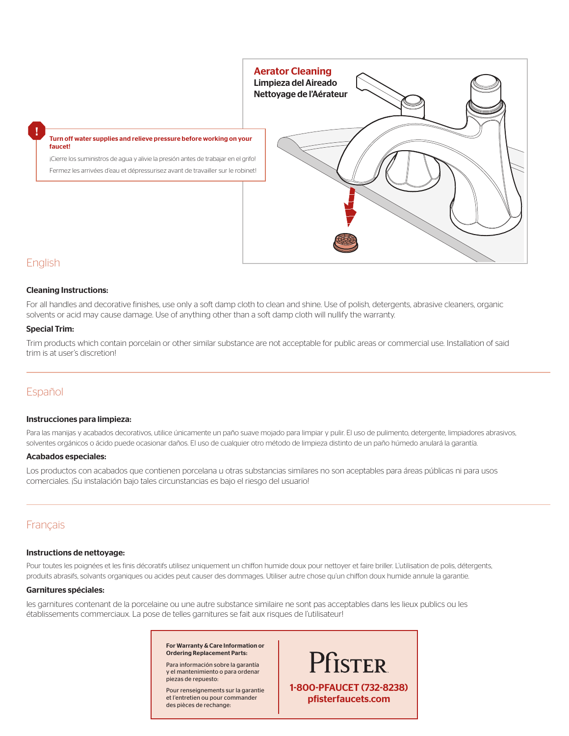

## English

#### Cleaning Instructions:

For all handles and decorative finishes, use only a soft damp cloth to clean and shine. Use of polish, detergents, abrasive cleaners, organic solvents or acid may cause damage. Use of anything other than a soft damp cloth will nullify the warranty.

#### Special Trim:

Trim products which contain porcelain or other similar substance are not acceptable for public areas or commercial use. Installation of said trim is at user's discretion!

#### Español

#### Instrucciones para limpieza:

Para las manijas y acabados decorativos, utilice únicamente un paño suave mojado para limpiar y pulir. El uso de pulimento, detergente, limpiadores abrasivos, solventes orgánicos o ácido puede ocasionar daños. El uso de cualquier otro método de limpieza distinto de un paño húmedo anulará la garantía.

#### Acabados especiales:

Los productos con acabados que contienen porcelana u otras substancias similares no son aceptables para áreas públicas ni para usos comerciales. ¡Su instalación bajo tales circunstancias es bajo el riesgo del usuario!

### Français

#### Instructions de nettoyage:

Pour toutes les poignées et les finis décoratifs utilisez uniquement un chiffon humide doux pour nettoyer et faire briller. L'utilisation de polis, détergents, produits abrasifs, solvants organiques ou acides peut causer des dommages. Utiliser autre chose qu'un chiffon doux humide annule la garantie.

#### Garnitures spéciales:

les garnitures contenant de la porcelaine ou une autre substance similaire ne sont pas acceptables dans les lieux publics ou les établissements commerciaux. La pose de telles garnitures se fait aux risques de l'utilisateur!

> For Warranty & Care Information or Ordering Replacement Parts:

Para información sobre la garantía y el mantenimiento o para ordenar piezas de repuesto:

Pour renseignements sur la garantie et l'entretien ou pour commander des pièces de rechange: